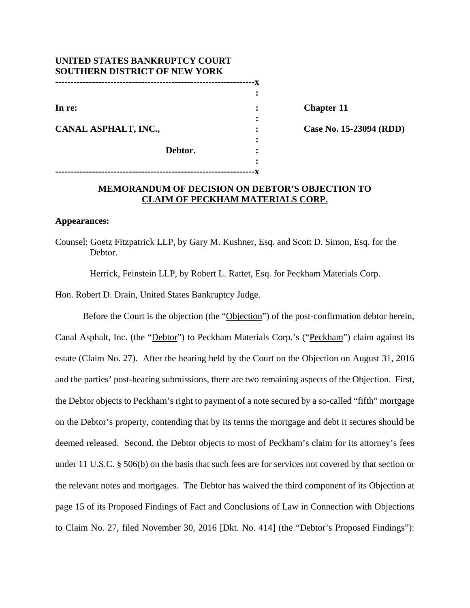| UNITED STATES BANKRUPTCY COURT       |  |
|--------------------------------------|--|
| <b>SOUTHERN DISTRICT OF NEW YORK</b> |  |
|                                      |  |
|                                      |  |
| In re:                               |  |
|                                      |  |
| CANAL ASPHALT, INC.,                 |  |
|                                      |  |
| Debtor.                              |  |
|                                      |  |

**-----------------------------------------------------------------x** 

**Chapter 11** 

**Case No. 15-23094 (RDD)** 

# **MEMORANDUM OF DECISION ON DEBTOR'S OBJECTION TO CLAIM OF PECKHAM MATERIALS CORP.**

#### **Appearances:**

Counsel: Goetz Fitzpatrick LLP, by Gary M. Kushner, Esq. and Scott D. Simon, Esq. for the Debtor.

Herrick, Feinstein LLP, by Robert L. Rattet, Esq. for Peckham Materials Corp.

Hon. Robert D. Drain, United States Bankruptcy Judge.

Before the Court is the objection (the "Objection") of the post-confirmation debtor herein, Canal Asphalt, Inc. (the "Debtor") to Peckham Materials Corp.'s ("Peckham") claim against its estate (Claim No. 27). After the hearing held by the Court on the Objection on August 31, 2016 and the parties' post-hearing submissions, there are two remaining aspects of the Objection. First, the Debtor objects to Peckham's right to payment of a note secured by a so-called "fifth" mortgage on the Debtor's property, contending that by its terms the mortgage and debt it secures should be deemed released. Second, the Debtor objects to most of Peckham's claim for its attorney's fees under 11 U.S.C. § 506(b) on the basis that such fees are for services not covered by that section or the relevant notes and mortgages. The Debtor has waived the third component of its Objection at page 15 of its Proposed Findings of Fact and Conclusions of Law in Connection with Objections to Claim No. 27, filed November 30, 2016 [Dkt. No. 414] (the "Debtor's Proposed Findings"):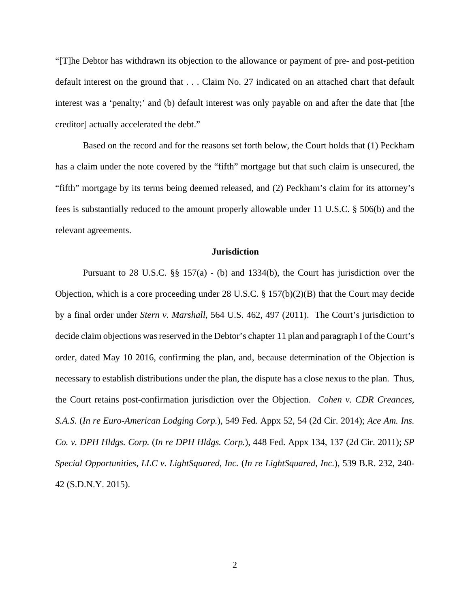"[T]he Debtor has withdrawn its objection to the allowance or payment of pre- and post-petition default interest on the ground that . . . Claim No. 27 indicated on an attached chart that default interest was a 'penalty;' and (b) default interest was only payable on and after the date that [the creditor] actually accelerated the debt."

Based on the record and for the reasons set forth below, the Court holds that (1) Peckham has a claim under the note covered by the "fifth" mortgage but that such claim is unsecured, the "fifth" mortgage by its terms being deemed released, and (2) Peckham's claim for its attorney's fees is substantially reduced to the amount properly allowable under 11 U.S.C. § 506(b) and the relevant agreements.

### **Jurisdiction**

Pursuant to 28 U.S.C. §§ 157(a) - (b) and 1334(b), the Court has jurisdiction over the Objection, which is a core proceeding under 28 U.S.C.  $\S$  157(b)(2)(B) that the Court may decide by a final order under *Stern v. Marshall*, 564 U.S. 462, 497 (2011). The Court's jurisdiction to decide claim objections was reserved in the Debtor's chapter 11 plan and paragraph I of the Court's order, dated May 10 2016, confirming the plan, and, because determination of the Objection is necessary to establish distributions under the plan, the dispute has a close nexus to the plan. Thus, the Court retains post-confirmation jurisdiction over the Objection. *Cohen v. CDR Creances, S.A.S.* (*In re Euro-American Lodging Corp.*), 549 Fed. Appx 52, 54 (2d Cir. 2014); *Ace Am. Ins. Co. v. DPH Hldgs. Corp.* (*In re DPH Hldgs. Corp.*), 448 Fed. Appx 134, 137 (2d Cir. 2011); *SP Special Opportunities, LLC v. LightSquared, Inc.* (*In re LightSquared, Inc.*), 539 B.R. 232, 240- 42 (S.D.N.Y. 2015).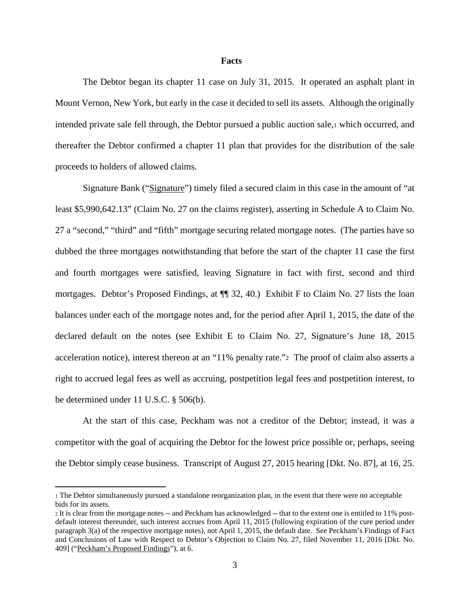#### **Facts**

The Debtor began its chapter 11 case on July 31, 2015. It operated an asphalt plant in Mount Vernon, New York, but early in the case it decided to sell its assets. Although the originally intended private sale fell through, the Debtor pursued a public auction sale,1 which occurred, and thereafter the Debtor confirmed a chapter 11 plan that provides for the distribution of the sale proceeds to holders of allowed claims.

Signature Bank ("Signature") timely filed a secured claim in this case in the amount of "at least \$5,990,642.13" (Claim No. 27 on the claims register), asserting in Schedule A to Claim No. 27 a "second," "third" and "fifth" mortgage securing related mortgage notes. (The parties have so dubbed the three mortgages notwithstanding that before the start of the chapter 11 case the first and fourth mortgages were satisfied, leaving Signature in fact with first, second and third mortgages. Debtor's Proposed Findings, at ¶¶ 32, 40.) Exhibit F to Claim No. 27 lists the loan balances under each of the mortgage notes and, for the period after April 1, 2015, the date of the declared default on the notes (see Exhibit E to Claim No. 27, Signature's June 18, 2015 acceleration notice), interest thereon at an "11% penalty rate."2 The proof of claim also asserts a right to accrued legal fees as well as accruing, postpetition legal fees and postpetition interest, to be determined under 11 U.S.C. § 506(b).

At the start of this case, Peckham was not a creditor of the Debtor; instead, it was a competitor with the goal of acquiring the Debtor for the lowest price possible or, perhaps, seeing the Debtor simply cease business. Transcript of August 27, 2015 hearing [Dkt. No. 87], at 16, 25.

<sup>1</sup> The Debtor simultaneously pursued a standalone reorganization plan, in the event that there were no acceptable bids for its assets.

<sup>2</sup> It is clear from the mortgage notes -- and Peckham has acknowledged -- that to the extent one is entitled to 11% postdefault interest thereunder, such interest accrues from April 11, 2015 (following expiration of the cure period under paragraph 3(a) of the respective mortgage notes), not April 1, 2015, the default date. See Peckham's Findings of Fact and Conclusions of Law with Respect to Debtor's Objection to Claim No. 27, filed November 11, 2016 [Dkt. No. 409] ("Peckham's Proposed Findings"), at 6.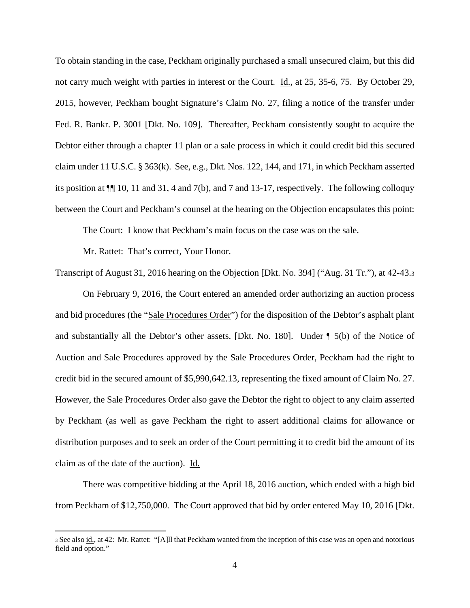To obtain standing in the case, Peckham originally purchased a small unsecured claim, but this did not carry much weight with parties in interest or the Court. Id., at 25, 35-6, 75. By October 29, 2015, however, Peckham bought Signature's Claim No. 27, filing a notice of the transfer under Fed. R. Bankr. P. 3001 [Dkt. No. 109]. Thereafter, Peckham consistently sought to acquire the Debtor either through a chapter 11 plan or a sale process in which it could credit bid this secured claim under 11 U.S.C. § 363(k). See, e.g., Dkt. Nos. 122, 144, and 171, in which Peckham asserted its position at ¶¶ 10, 11 and 31, 4 and 7(b), and 7 and 13-17, respectively. The following colloquy between the Court and Peckham's counsel at the hearing on the Objection encapsulates this point:

The Court: I know that Peckham's main focus on the case was on the sale.

Mr. Rattet: That's correct, Your Honor.

Transcript of August 31, 2016 hearing on the Objection [Dkt. No. 394] ("Aug. 31 Tr."), at 42-43.3

On February 9, 2016, the Court entered an amended order authorizing an auction process and bid procedures (the "Sale Procedures Order") for the disposition of the Debtor's asphalt plant and substantially all the Debtor's other assets. [Dkt. No. 180]. Under  $\P$  5(b) of the Notice of Auction and Sale Procedures approved by the Sale Procedures Order, Peckham had the right to credit bid in the secured amount of \$5,990,642.13, representing the fixed amount of Claim No. 27. However, the Sale Procedures Order also gave the Debtor the right to object to any claim asserted by Peckham (as well as gave Peckham the right to assert additional claims for allowance or distribution purposes and to seek an order of the Court permitting it to credit bid the amount of its claim as of the date of the auction). Id.

There was competitive bidding at the April 18, 2016 auction, which ended with a high bid from Peckham of \$12,750,000. The Court approved that bid by order entered May 10, 2016 [Dkt.

<sup>3</sup> See also id., at 42: Mr. Rattet: "[A]ll that Peckham wanted from the inception of this case was an open and notorious field and option."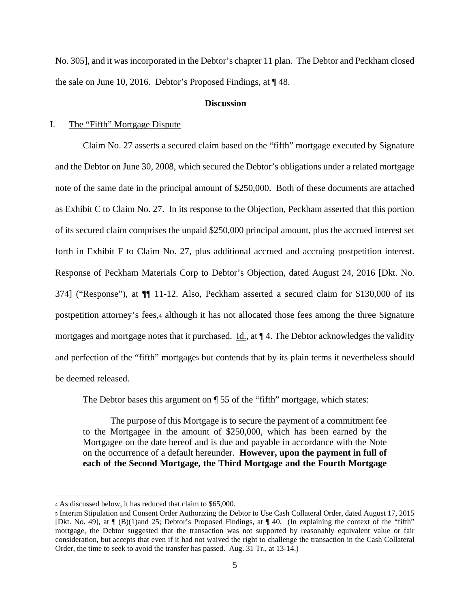No. 305], and it was incorporated in the Debtor's chapter 11 plan. The Debtor and Peckham closed the sale on June 10, 2016. Debtor's Proposed Findings, at ¶ 48.

### **Discussion**

#### I. The "Fifth" Mortgage Dispute

Claim No. 27 asserts a secured claim based on the "fifth" mortgage executed by Signature and the Debtor on June 30, 2008, which secured the Debtor's obligations under a related mortgage note of the same date in the principal amount of \$250,000. Both of these documents are attached as Exhibit C to Claim No. 27. In its response to the Objection, Peckham asserted that this portion of its secured claim comprises the unpaid \$250,000 principal amount, plus the accrued interest set forth in Exhibit F to Claim No. 27, plus additional accrued and accruing postpetition interest. Response of Peckham Materials Corp to Debtor's Objection, dated August 24, 2016 [Dkt. No. 374] ("Response"), at ¶¶ 11-12. Also, Peckham asserted a secured claim for \$130,000 of its postpetition attorney's fees,4 although it has not allocated those fees among the three Signature mortgages and mortgage notes that it purchased. Id., at ¶ 4. The Debtor acknowledges the validity and perfection of the "fifth" mortgages but contends that by its plain terms it nevertheless should be deemed released.

The Debtor bases this argument on ¶ 55 of the "fifth" mortgage, which states:

The purpose of this Mortgage is to secure the payment of a commitment fee to the Mortgagee in the amount of \$250,000, which has been earned by the Mortgagee on the date hereof and is due and payable in accordance with the Note on the occurrence of a default hereunder. **However, upon the payment in full of each of the Second Mortgage, the Third Mortgage and the Fourth Mortgage** 

<sup>4</sup> As discussed below, it has reduced that claim to \$65,000.

<sup>5</sup> Interim Stipulation and Consent Order Authorizing the Debtor to Use Cash Collateral Order, dated August 17, 2015 [Dkt. No. 49], at ¶ (B)(1)and 25; Debtor's Proposed Findings, at ¶ 40. (In explaining the context of the "fifth" mortgage, the Debtor suggested that the transaction was not supported by reasonably equivalent value or fair consideration, but accepts that even if it had not waived the right to challenge the transaction in the Cash Collateral Order, the time to seek to avoid the transfer has passed. Aug. 31 Tr., at 13-14.)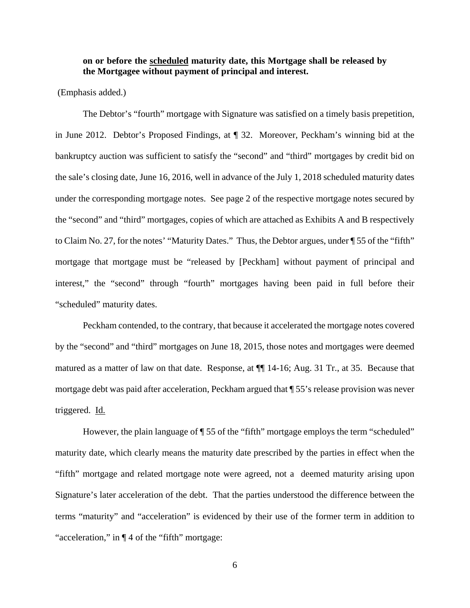# **on or before the scheduled maturity date, this Mortgage shall be released by the Mortgagee without payment of principal and interest.**

(Emphasis added.)

 The Debtor's "fourth" mortgage with Signature was satisfied on a timely basis prepetition, in June 2012. Debtor's Proposed Findings, at ¶ 32. Moreover, Peckham's winning bid at the bankruptcy auction was sufficient to satisfy the "second" and "third" mortgages by credit bid on the sale's closing date, June 16, 2016, well in advance of the July 1, 2018 scheduled maturity dates under the corresponding mortgage notes. See page 2 of the respective mortgage notes secured by the "second" and "third" mortgages, copies of which are attached as Exhibits A and B respectively to Claim No. 27, for the notes' "Maturity Dates." Thus, the Debtor argues, under ¶ 55 of the "fifth" mortgage that mortgage must be "released by [Peckham] without payment of principal and interest," the "second" through "fourth" mortgages having been paid in full before their "scheduled" maturity dates.

 Peckham contended, to the contrary, that because it accelerated the mortgage notes covered by the "second" and "third" mortgages on June 18, 2015, those notes and mortgages were deemed matured as a matter of law on that date. Response, at ¶¶ 14-16; Aug. 31 Tr., at 35. Because that mortgage debt was paid after acceleration, Peckham argued that ¶ 55's release provision was never triggered. Id.

However, the plain language of ¶ 55 of the "fifth" mortgage employs the term "scheduled" maturity date, which clearly means the maturity date prescribed by the parties in effect when the "fifth" mortgage and related mortgage note were agreed, not a deemed maturity arising upon Signature's later acceleration of the debt. That the parties understood the difference between the terms "maturity" and "acceleration" is evidenced by their use of the former term in addition to "acceleration," in ¶ 4 of the "fifth" mortgage: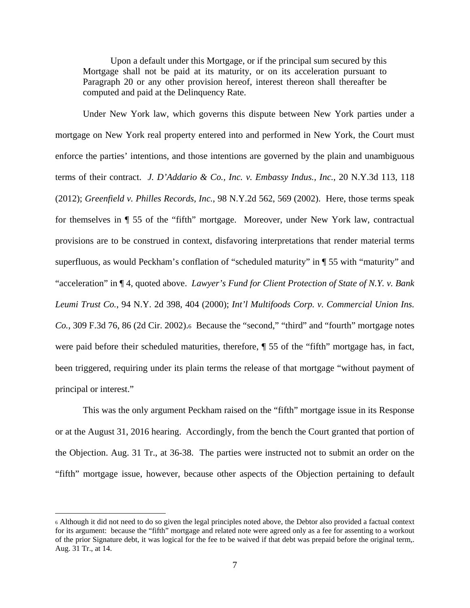Upon a default under this Mortgage, or if the principal sum secured by this Mortgage shall not be paid at its maturity, or on its acceleration pursuant to Paragraph 20 or any other provision hereof, interest thereon shall thereafter be computed and paid at the Delinquency Rate.

Under New York law, which governs this dispute between New York parties under a mortgage on New York real property entered into and performed in New York, the Court must enforce the parties' intentions, and those intentions are governed by the plain and unambiguous terms of their contract. *J. D'Addario & Co., Inc. v. Embassy Indus., Inc.*, 20 N.Y.3d 113, 118 (2012); *Greenfield v. Philles Records, Inc.*, 98 N.Y.2d 562, 569 (2002). Here, those terms speak for themselves in ¶ 55 of the "fifth" mortgage. Moreover, under New York law, contractual provisions are to be construed in context, disfavoring interpretations that render material terms superfluous, as would Peckham's conflation of "scheduled maturity" in ¶ 55 with "maturity" and "acceleration" in ¶ 4, quoted above. *Lawyer's Fund for Client Protection of State of N.Y. v. Bank Leumi Trust Co.*, 94 N.Y. 2d 398, 404 (2000); *Int'l Multifoods Corp. v. Commercial Union Ins. Co.*, 309 F.3d 76, 86 (2d Cir. 2002).6 Because the "second," "third" and "fourth" mortgage notes were paid before their scheduled maturities, therefore, ¶ 55 of the "fifth" mortgage has, in fact, been triggered, requiring under its plain terms the release of that mortgage "without payment of principal or interest."

This was the only argument Peckham raised on the "fifth" mortgage issue in its Response or at the August 31, 2016 hearing. Accordingly, from the bench the Court granted that portion of the Objection. Aug. 31 Tr., at 36-38. The parties were instructed not to submit an order on the "fifth" mortgage issue, however, because other aspects of the Objection pertaining to default

<sup>6</sup> Although it did not need to do so given the legal principles noted above, the Debtor also provided a factual context for its argument: because the "fifth" mortgage and related note were agreed only as a fee for assenting to a workout of the prior Signature debt, it was logical for the fee to be waived if that debt was prepaid before the original term,. Aug. 31 Tr., at 14.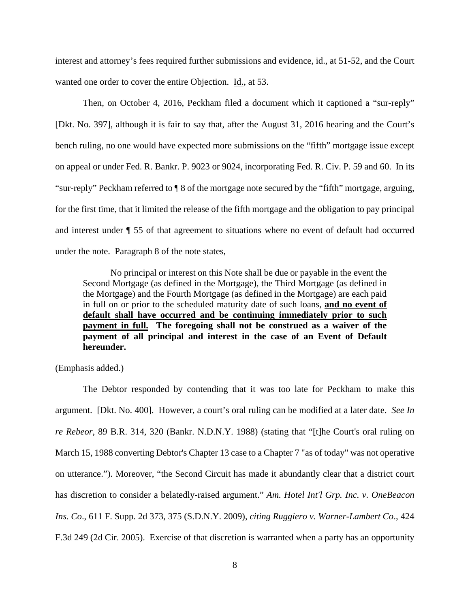interest and attorney's fees required further submissions and evidence, id., at 51-52, and the Court wanted one order to cover the entire Objection. Id., at 53.

Then, on October 4, 2016, Peckham filed a document which it captioned a "sur-reply" [Dkt. No. 397], although it is fair to say that, after the August 31, 2016 hearing and the Court's bench ruling, no one would have expected more submissions on the "fifth" mortgage issue except on appeal or under Fed. R. Bankr. P. 9023 or 9024, incorporating Fed. R. Civ. P. 59 and 60. In its "sur-reply" Peckham referred to ¶ 8 of the mortgage note secured by the "fifth" mortgage, arguing, for the first time, that it limited the release of the fifth mortgage and the obligation to pay principal and interest under ¶ 55 of that agreement to situations where no event of default had occurred under the note. Paragraph 8 of the note states,

No principal or interest on this Note shall be due or payable in the event the Second Mortgage (as defined in the Mortgage), the Third Mortgage (as defined in the Mortgage) and the Fourth Mortgage (as defined in the Mortgage) are each paid in full on or prior to the scheduled maturity date of such loans, **and no event of default shall have occurred and be continuing immediately prior to such payment in full. The foregoing shall not be construed as a waiver of the payment of all principal and interest in the case of an Event of Default hereunder.** 

(Emphasis added.)

The Debtor responded by contending that it was too late for Peckham to make this argument. [Dkt. No. 400]. However, a court's oral ruling can be modified at a later date. *See In re Rebeor*, 89 B.R. 314, 320 (Bankr. N.D.N.Y. 1988) (stating that "[t]he Court's oral ruling on March 15, 1988 converting Debtor's Chapter 13 case to a Chapter 7 "as of today" was not operative on utterance."). Moreover, "the Second Circuit has made it abundantly clear that a district court has discretion to consider a belatedly-raised argument." *Am. Hotel Int'l Grp. Inc. v. OneBeacon Ins. Co*., 611 F. Supp. 2d 373, 375 (S.D.N.Y. 2009), *citing Ruggiero v. Warner-Lambert Co*., 424 F.3d 249 (2d Cir. 2005). Exercise of that discretion is warranted when a party has an opportunity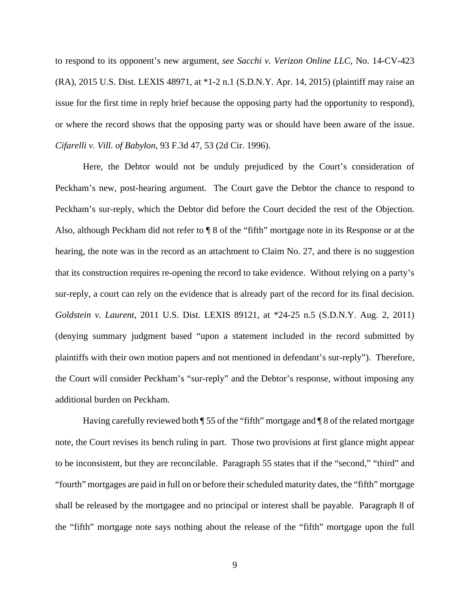to respond to its opponent's new argument, *see Sacchi v. Verizon Online LLC*, No. 14-CV-423 (RA), 2015 U.S. Dist. LEXIS 48971, at \*1-2 n.1 (S.D.N.Y. Apr. 14, 2015) (plaintiff may raise an issue for the first time in reply brief because the opposing party had the opportunity to respond), or where the record shows that the opposing party was or should have been aware of the issue. *Cifarelli v. Vill. of Babylon*, 93 F.3d 47, 53 (2d Cir. 1996).

Here, the Debtor would not be unduly prejudiced by the Court's consideration of Peckham's new, post-hearing argument. The Court gave the Debtor the chance to respond to Peckham's sur-reply, which the Debtor did before the Court decided the rest of the Objection. Also, although Peckham did not refer to ¶ 8 of the "fifth" mortgage note in its Response or at the hearing, the note was in the record as an attachment to Claim No. 27, and there is no suggestion that its construction requires re-opening the record to take evidence. Without relying on a party's sur-reply, a court can rely on the evidence that is already part of the record for its final decision. *Goldstein v. Laurent*, 2011 U.S. Dist. LEXIS 89121, at \*24-25 n.5 (S.D.N.Y. Aug. 2, 2011) (denying summary judgment based "upon a statement included in the record submitted by plaintiffs with their own motion papers and not mentioned in defendant's sur-reply"). Therefore, the Court will consider Peckham's "sur-reply" and the Debtor's response, without imposing any additional burden on Peckham.

Having carefully reviewed both ¶ 55 of the "fifth" mortgage and ¶ 8 of the related mortgage note, the Court revises its bench ruling in part. Those two provisions at first glance might appear to be inconsistent, but they are reconcilable. Paragraph 55 states that if the "second," "third" and "fourth" mortgages are paid in full on or before their scheduled maturity dates, the "fifth" mortgage shall be released by the mortgagee and no principal or interest shall be payable. Paragraph 8 of the "fifth" mortgage note says nothing about the release of the "fifth" mortgage upon the full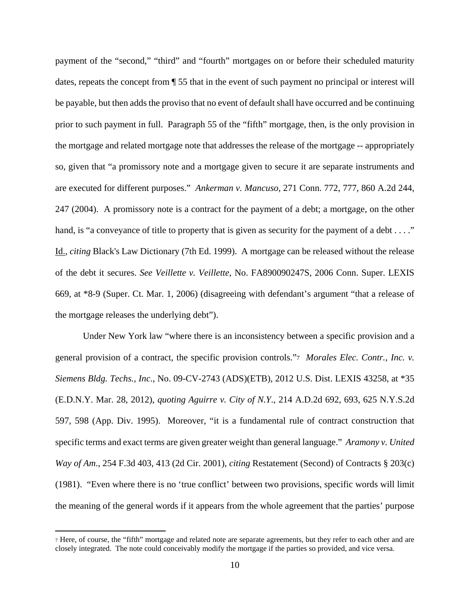payment of the "second," "third" and "fourth" mortgages on or before their scheduled maturity dates, repeats the concept from ¶ 55 that in the event of such payment no principal or interest will be payable, but then adds the proviso that no event of default shall have occurred and be continuing prior to such payment in full. Paragraph 55 of the "fifth" mortgage, then, is the only provision in the mortgage and related mortgage note that addresses the release of the mortgage -- appropriately so, given that "a promissory note and a mortgage given to secure it are separate instruments and are executed for different purposes." *Ankerman v. Mancuso*, 271 Conn. 772, 777, 860 A.2d 244, 247 (2004). A promissory note is a contract for the payment of a debt; a mortgage, on the other hand, is "a conveyance of title to property that is given as security for the payment of a debt . . . ." Id., *citing* Black's Law Dictionary (7th Ed. 1999). A mortgage can be released without the release of the debt it secures. *See Veillette v. Veillette*, No. FA890090247S, 2006 Conn. Super. LEXIS 669, at \*8-9 (Super. Ct. Mar. 1, 2006) (disagreeing with defendant's argument "that a release of the mortgage releases the underlying debt").

Under New York law "where there is an inconsistency between a specific provision and a general provision of a contract, the specific provision controls."7 *Morales Elec. Contr., Inc. v. Siemens Bldg. Techs., Inc*., No. 09-CV-2743 (ADS)(ETB), 2012 U.S. Dist. LEXIS 43258, at \*35 (E.D.N.Y. Mar. 28, 2012), *quoting Aguirre v. City of N.Y*., 214 A.D.2d 692, 693, 625 N.Y.S.2d 597, 598 (App. Div. 1995). Moreover, "it is a fundamental rule of contract construction that specific terms and exact terms are given greater weight than general language." *Aramony v. United Way of Am*., 254 F.3d 403, 413 (2d Cir. 2001), *citing* Restatement (Second) of Contracts § 203(c) (1981). "Even where there is no 'true conflict' between two provisions, specific words will limit the meaning of the general words if it appears from the whole agreement that the parties' purpose

<sup>7</sup> Here, of course, the "fifth" mortgage and related note are separate agreements, but they refer to each other and are closely integrated. The note could conceivably modify the mortgage if the parties so provided, and vice versa.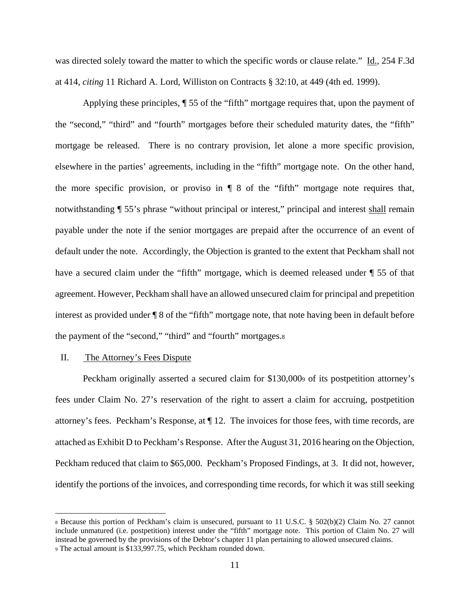was directed solely toward the matter to which the specific words or clause relate." Id., 254 F.3d at 414, *citing* 11 Richard A. Lord, Williston on Contracts § 32:10, at 449 (4th ed. 1999).

Applying these principles, ¶ 55 of the "fifth" mortgage requires that, upon the payment of the "second," "third" and "fourth" mortgages before their scheduled maturity dates, the "fifth" mortgage be released. There is no contrary provision, let alone a more specific provision, elsewhere in the parties' agreements, including in the "fifth" mortgage note. On the other hand, the more specific provision, or proviso in  $\P$  8 of the "fifth" mortgage note requires that, notwithstanding  $\P$  55's phrase "without principal or interest," principal and interest shall remain payable under the note if the senior mortgages are prepaid after the occurrence of an event of default under the note. Accordingly, the Objection is granted to the extent that Peckham shall not have a secured claim under the "fifth" mortgage, which is deemed released under ¶ 55 of that agreement. However, Peckham shall have an allowed unsecured claim for principal and prepetition interest as provided under ¶ 8 of the "fifth" mortgage note, that note having been in default before the payment of the "second," "third" and "fourth" mortgages.8

### II. The Attorney's Fees Dispute

Peckham originally asserted a secured claim for \$130,0009 of its postpetition attorney's fees under Claim No. 27's reservation of the right to assert a claim for accruing, postpetition attorney's fees. Peckham's Response, at ¶ 12. The invoices for those fees, with time records, are attached as Exhibit D to Peckham's Response. After the August 31, 2016 hearing on the Objection, Peckham reduced that claim to \$65,000. Peckham's Proposed Findings, at 3. It did not, however, identify the portions of the invoices, and corresponding time records, for which it was still seeking

<sup>8</sup> Because this portion of Peckham's claim is unsecured, pursuant to 11 U.S.C. § 502(b)(2) Claim No. 27 cannot include unmatured (i.e. postpetition) interest under the "fifth" mortgage note. This portion of Claim No. 27 will instead be governed by the provisions of the Debtor's chapter 11 plan pertaining to allowed unsecured claims.

<sup>9</sup> The actual amount is \$133,997.75, which Peckham rounded down.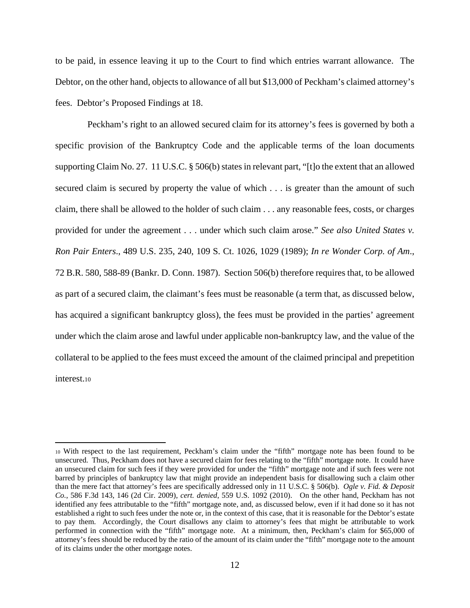to be paid, in essence leaving it up to the Court to find which entries warrant allowance. The Debtor, on the other hand, objects to allowance of all but \$13,000 of Peckham's claimed attorney's fees. Debtor's Proposed Findings at 18.

 Peckham's right to an allowed secured claim for its attorney's fees is governed by both a specific provision of the Bankruptcy Code and the applicable terms of the loan documents supporting Claim No. 27. 11 U.S.C. § 506(b) states in relevant part, "[t]o the extent that an allowed secured claim is secured by property the value of which . . . is greater than the amount of such claim, there shall be allowed to the holder of such claim . . . any reasonable fees, costs, or charges provided for under the agreement . . . under which such claim arose." *See also United States v. Ron Pair Enters*., 489 U.S. 235, 240, 109 S. Ct. 1026, 1029 (1989); *In re Wonder Corp. of Am*., 72 B.R. 580, 588-89 (Bankr. D. Conn. 1987). Section 506(b) therefore requires that, to be allowed as part of a secured claim, the claimant's fees must be reasonable (a term that, as discussed below, has acquired a significant bankruptcy gloss), the fees must be provided in the parties' agreement under which the claim arose and lawful under applicable non-bankruptcy law, and the value of the collateral to be applied to the fees must exceed the amount of the claimed principal and prepetition interest.10

<sup>10</sup> With respect to the last requirement, Peckham's claim under the "fifth" mortgage note has been found to be unsecured. Thus, Peckham does not have a secured claim for fees relating to the "fifth" mortgage note. It could have an unsecured claim for such fees if they were provided for under the "fifth" mortgage note and if such fees were not barred by principles of bankruptcy law that might provide an independent basis for disallowing such a claim other than the mere fact that attorney's fees are specifically addressed only in 11 U.S.C. § 506(b). *Ogle v. Fid. & Deposit Co.*, 586 F.3d 143, 146 (2d Cir. 2009), *cert. denied*, 559 U.S. 1092 (2010). On the other hand, Peckham has not identified any fees attributable to the "fifth" mortgage note, and, as discussed below, even if it had done so it has not established a right to such fees under the note or, in the context of this case, that it is reasonable for the Debtor's estate to pay them. Accordingly, the Court disallows any claim to attorney's fees that might be attributable to work performed in connection with the "fifth" mortgage note. At a minimum, then, Peckham's claim for \$65,000 of attorney's fees should be reduced by the ratio of the amount of its claim under the "fifth" mortgage note to the amount of its claims under the other mortgage notes.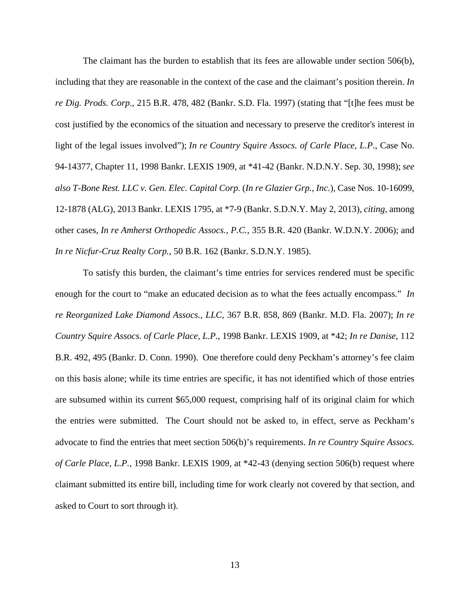The claimant has the burden to establish that its fees are allowable under section 506(b), including that they are reasonable in the context of the case and the claimant's position therein. *In re Dig. Prods. Corp*., 215 B.R. 478, 482 (Bankr. S.D. Fla. 1997) (stating that "[t]he fees must be cost justified by the economics of the situation and necessary to preserve the creditor's interest in light of the legal issues involved"); *In re Country Squire Assocs. of Carle Place, L.P*., Case No. 94-14377, Chapter 11, 1998 Bankr. LEXIS 1909, at \*41-42 (Bankr. N.D.N.Y. Sep. 30, 1998); *see also T-Bone Rest. LLC v. Gen. Elec. Capital Corp.* (*In re Glazier Grp., Inc.*), Case Nos. 10-16099, 12-1878 (ALG), 2013 Bankr. LEXIS 1795, at \*7-9 (Bankr. S.D.N.Y. May 2, 2013), *citing*, among other cases, *In re Amherst Orthopedic Assocs., P.C.*, 355 B.R. 420 (Bankr. W.D.N.Y. 2006); and *In re Nicfur-Cruz Realty Corp.*, 50 B.R. 162 (Bankr. S.D.N.Y. 1985).

To satisfy this burden, the claimant's time entries for services rendered must be specific enough for the court to "make an educated decision as to what the fees actually encompass." *In re Reorganized Lake Diamond Assocs., LLC*, 367 B.R. 858, 869 (Bankr. M.D. Fla. 2007); *In re Country Squire Assocs. of Carle Place, L.P*., 1998 Bankr. LEXIS 1909, at \*42; *In re Danise*, 112 B.R. 492, 495 (Bankr. D. Conn. 1990). One therefore could deny Peckham's attorney's fee claim on this basis alone; while its time entries are specific, it has not identified which of those entries are subsumed within its current \$65,000 request, comprising half of its original claim for which the entries were submitted. The Court should not be asked to, in effect, serve as Peckham's advocate to find the entries that meet section 506(b)'s requirements. *In re Country Squire Assocs. of Carle Place, L.P.*, 1998 Bankr. LEXIS 1909, at \*42-43 (denying section 506(b) request where claimant submitted its entire bill, including time for work clearly not covered by that section, and asked to Court to sort through it).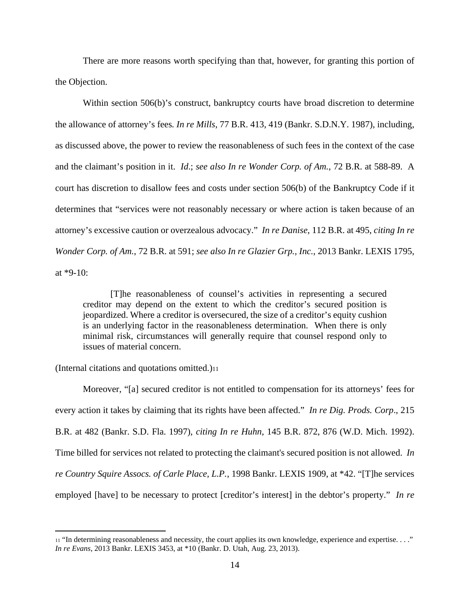There are more reasons worth specifying than that, however, for granting this portion of the Objection.

Within section 506(b)'s construct, bankruptcy courts have broad discretion to determine the allowance of attorney's fees*. In re Mills*, 77 B.R. 413, 419 (Bankr. S.D.N.Y. 1987), including, as discussed above, the power to review the reasonableness of such fees in the context of the case and the claimant's position in it. *Id*.; *see also In re Wonder Corp. of Am.*, 72 B.R. at 588-89. A court has discretion to disallow fees and costs under section 506(b) of the Bankruptcy Code if it determines that "services were not reasonably necessary or where action is taken because of an attorney's excessive caution or overzealous advocacy." *In re Danise*, 112 B.R. at 495, *citing In re Wonder Corp. of Am.*, 72 B.R. at 591; *see also In re Glazier Grp., Inc.*, 2013 Bankr. LEXIS 1795, at \*9-10:

[T]he reasonableness of counsel's activities in representing a secured creditor may depend on the extent to which the creditor's secured position is jeopardized. Where a creditor is oversecured, the size of a creditor's equity cushion is an underlying factor in the reasonableness determination. When there is only minimal risk, circumstances will generally require that counsel respond only to issues of material concern.

(Internal citations and quotations omitted.)11

Moreover, "[a] secured creditor is not entitled to compensation for its attorneys' fees for every action it takes by claiming that its rights have been affected." *In re Dig. Prods. Corp*., 215 B.R. at 482 (Bankr. S.D. Fla. 1997), *citing In re Huhn*, 145 B.R. 872, 876 (W.D. Mich. 1992). Time billed for services not related to protecting the claimant's secured position is not allowed. *In re Country Squire Assocs. of Carle Place, L.P.*, 1998 Bankr. LEXIS 1909, at \*42. "[T]he services employed [have] to be necessary to protect [creditor's interest] in the debtor's property." *In re* 

<sup>11 &</sup>quot;In determining reasonableness and necessity, the court applies its own knowledge, experience and expertise. . . ." *In re Evans*, 2013 Bankr. LEXIS 3453, at \*10 (Bankr. D. Utah, Aug. 23, 2013).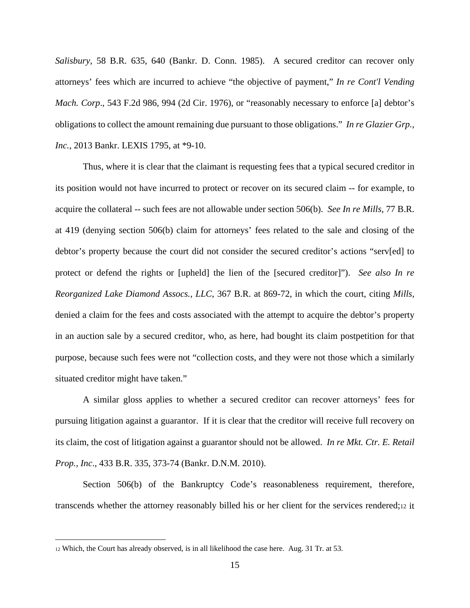*Salisbury*, 58 B.R. 635, 640 (Bankr. D. Conn. 1985). A secured creditor can recover only attorneys' fees which are incurred to achieve "the objective of payment," *In re Cont'l Vending Mach. Corp*., 543 F.2d 986, 994 (2d Cir. 1976), or "reasonably necessary to enforce [a] debtor's obligations to collect the amount remaining due pursuant to those obligations." *In re Glazier Grp., Inc.*, 2013 Bankr. LEXIS 1795, at \*9-10.

Thus, where it is clear that the claimant is requesting fees that a typical secured creditor in its position would not have incurred to protect or recover on its secured claim -- for example, to acquire the collateral -- such fees are not allowable under section 506(b). *See In re Mills*, 77 B.R. at 419 (denying section 506(b) claim for attorneys' fees related to the sale and closing of the debtor's property because the court did not consider the secured creditor's actions "serv[ed] to protect or defend the rights or [upheld] the lien of the [secured creditor]"). *See also In re Reorganized Lake Diamond Assocs., LLC*, 367 B.R. at 869-72, in which the court, citing *Mills*, denied a claim for the fees and costs associated with the attempt to acquire the debtor's property in an auction sale by a secured creditor, who, as here, had bought its claim postpetition for that purpose, because such fees were not "collection costs, and they were not those which a similarly situated creditor might have taken."

A similar gloss applies to whether a secured creditor can recover attorneys' fees for pursuing litigation against a guarantor. If it is clear that the creditor will receive full recovery on its claim, the cost of litigation against a guarantor should not be allowed. *In re Mkt. Ctr. E. Retail Prop., Inc*., 433 B.R. 335, 373-74 (Bankr. D.N.M. 2010).

Section 506(b) of the Bankruptcy Code's reasonableness requirement, therefore, transcends whether the attorney reasonably billed his or her client for the services rendered;12 it

<sup>12</sup> Which, the Court has already observed, is in all likelihood the case here. Aug. 31 Tr. at 53.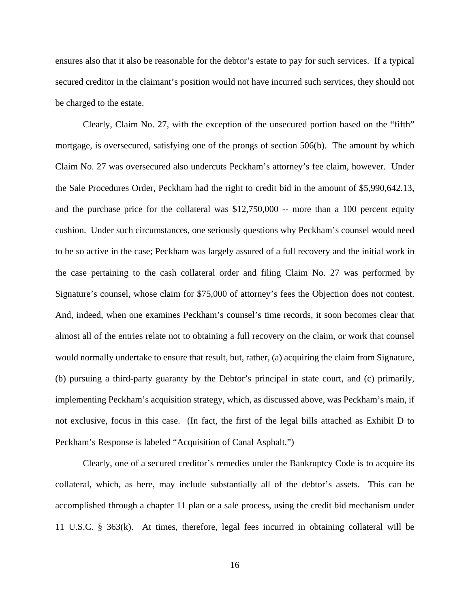ensures also that it also be reasonable for the debtor's estate to pay for such services. If a typical secured creditor in the claimant's position would not have incurred such services, they should not be charged to the estate.

Clearly, Claim No. 27, with the exception of the unsecured portion based on the "fifth" mortgage, is oversecured, satisfying one of the prongs of section 506(b). The amount by which Claim No. 27 was oversecured also undercuts Peckham's attorney's fee claim, however. Under the Sale Procedures Order, Peckham had the right to credit bid in the amount of \$5,990,642.13, and the purchase price for the collateral was \$12,750,000 -- more than a 100 percent equity cushion. Under such circumstances, one seriously questions why Peckham's counsel would need to be so active in the case; Peckham was largely assured of a full recovery and the initial work in the case pertaining to the cash collateral order and filing Claim No. 27 was performed by Signature's counsel, whose claim for \$75,000 of attorney's fees the Objection does not contest. And, indeed, when one examines Peckham's counsel's time records, it soon becomes clear that almost all of the entries relate not to obtaining a full recovery on the claim, or work that counsel would normally undertake to ensure that result, but, rather, (a) acquiring the claim from Signature, (b) pursuing a third-party guaranty by the Debtor's principal in state court, and (c) primarily, implementing Peckham's acquisition strategy, which, as discussed above, was Peckham's main, if not exclusive, focus in this case. (In fact, the first of the legal bills attached as Exhibit D to Peckham's Response is labeled "Acquisition of Canal Asphalt.")

Clearly, one of a secured creditor's remedies under the Bankruptcy Code is to acquire its collateral, which, as here, may include substantially all of the debtor's assets. This can be accomplished through a chapter 11 plan or a sale process, using the credit bid mechanism under 11 U.S.C. § 363(k). At times, therefore, legal fees incurred in obtaining collateral will be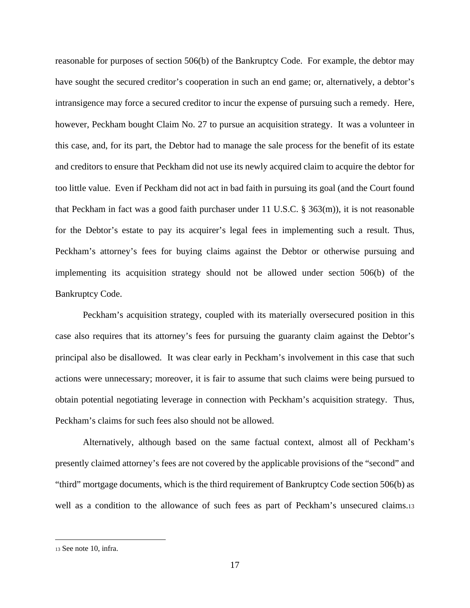reasonable for purposes of section 506(b) of the Bankruptcy Code. For example, the debtor may have sought the secured creditor's cooperation in such an end game; or, alternatively, a debtor's intransigence may force a secured creditor to incur the expense of pursuing such a remedy. Here, however, Peckham bought Claim No. 27 to pursue an acquisition strategy. It was a volunteer in this case, and, for its part, the Debtor had to manage the sale process for the benefit of its estate and creditors to ensure that Peckham did not use its newly acquired claim to acquire the debtor for too little value. Even if Peckham did not act in bad faith in pursuing its goal (and the Court found that Peckham in fact was a good faith purchaser under 11 U.S.C. § 363(m)), it is not reasonable for the Debtor's estate to pay its acquirer's legal fees in implementing such a result. Thus, Peckham's attorney's fees for buying claims against the Debtor or otherwise pursuing and implementing its acquisition strategy should not be allowed under section 506(b) of the Bankruptcy Code.

Peckham's acquisition strategy, coupled with its materially oversecured position in this case also requires that its attorney's fees for pursuing the guaranty claim against the Debtor's principal also be disallowed. It was clear early in Peckham's involvement in this case that such actions were unnecessary; moreover, it is fair to assume that such claims were being pursued to obtain potential negotiating leverage in connection with Peckham's acquisition strategy. Thus, Peckham's claims for such fees also should not be allowed.

Alternatively, although based on the same factual context, almost all of Peckham's presently claimed attorney's fees are not covered by the applicable provisions of the "second" and "third" mortgage documents, which is the third requirement of Bankruptcy Code section 506(b) as well as a condition to the allowance of such fees as part of Peckham's unsecured claims.13

<sup>13</sup> See note 10, infra.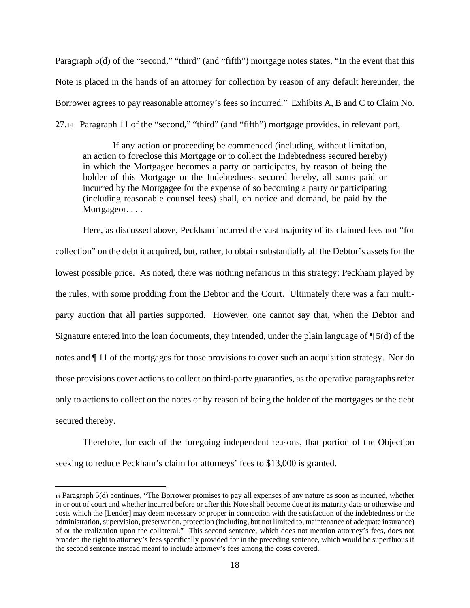Paragraph 5(d) of the "second," "third" (and "fifth") mortgage notes states, "In the event that this Note is placed in the hands of an attorney for collection by reason of any default hereunder, the Borrower agrees to pay reasonable attorney's fees so incurred." Exhibits A, B and C to Claim No. 27.14 Paragraph 11 of the "second," "third" (and "fifth") mortgage provides, in relevant part,

 If any action or proceeding be commenced (including, without limitation, an action to foreclose this Mortgage or to collect the Indebtedness secured hereby) in which the Mortgagee becomes a party or participates, by reason of being the holder of this Mortgage or the Indebtedness secured hereby, all sums paid or incurred by the Mortgagee for the expense of so becoming a party or participating (including reasonable counsel fees) shall, on notice and demand, be paid by the Mortgageor. . . .

Here, as discussed above, Peckham incurred the vast majority of its claimed fees not "for collection" on the debt it acquired, but, rather, to obtain substantially all the Debtor's assets for the lowest possible price. As noted, there was nothing nefarious in this strategy; Peckham played by the rules, with some prodding from the Debtor and the Court. Ultimately there was a fair multiparty auction that all parties supported. However, one cannot say that, when the Debtor and Signature entered into the loan documents, they intended, under the plain language of ¶ 5(d) of the notes and ¶ 11 of the mortgages for those provisions to cover such an acquisition strategy. Nor do those provisions cover actions to collect on third-party guaranties, as the operative paragraphs refer only to actions to collect on the notes or by reason of being the holder of the mortgages or the debt secured thereby.

Therefore, for each of the foregoing independent reasons, that portion of the Objection seeking to reduce Peckham's claim for attorneys' fees to \$13,000 is granted.

<sup>14</sup> Paragraph 5(d) continues, "The Borrower promises to pay all expenses of any nature as soon as incurred, whether in or out of court and whether incurred before or after this Note shall become due at its maturity date or otherwise and costs which the [Lender] may deem necessary or proper in connection with the satisfaction of the indebtedness or the administration, supervision, preservation, protection (including, but not limited to, maintenance of adequate insurance) of or the realization upon the collateral." This second sentence, which does not mention attorney's fees, does not broaden the right to attorney's fees specifically provided for in the preceding sentence, which would be superfluous if the second sentence instead meant to include attorney's fees among the costs covered.